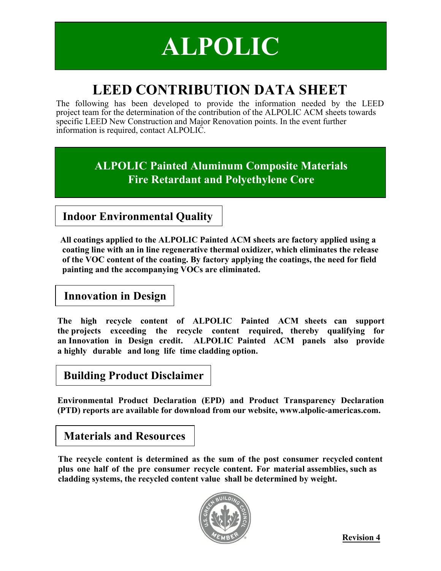## **ALPOLIC**

## **LEED CONTRIBUTION DATA SHEET**

The following has been developed to provide the information needed by the LEED project team for the determination of the contribution of the ALPOLIC ACM sheets towards specific LEED New Construction and Major Renovation points. In the event further information is required, contact ALPOLIC.

> **ALPOLIC Painted Aluminum Composite Materials Fire Retardant and Polyethylene Core**

**Indoor Environmental Quality**

**All coatings applied to the ALPOLIC Painted ACM sheets are factory applied using a coating line with an in line regenerative thermal oxidizer, which eliminates the release of the VOC content of the coating. By factory applying the coatings, the need for field painting and the accompanying VOCs are eliminated.** 

 **Innovation in Design**

**The high recycle content of ALPOLIC Painted ACM sheets can support the projects exceeding the recycle content required, thereby qualifying for an Innovation in Design credit. ALPOLIC Painted ACM panels also provide a highly durable and long life time cladding option.** 

## **Building Product Disclaimer**

**Environmental Product Declaration (EPD) and Product Transparency Declaration (PTD) reports are available for download from our website, www.alpolic-americas.com.**

## **Materials and Resources**

**The recycle content is determined as the sum of the post consumer recycled content plus one half of the pre consumer recycle content. For material assemblies, such as cladding systems, the recycled content value shall be determined by weight.** 



**Revision 4**